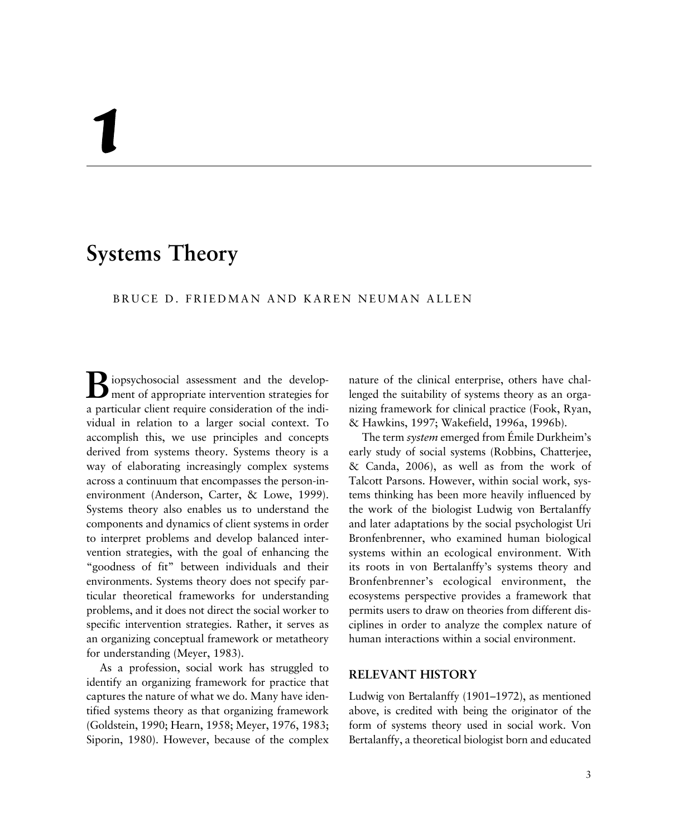# **1**

# **Systems Theory**

BRUCE D. FRIEDMAN AND KAREN NEUMAN ALLEN

**B** iopsychosocial assessment and the develop-<br>ment of appropriate intervention strategies for a particular client require consideration of the individual in relation to a larger social context. To accomplish this, we use principles and concepts derived from systems theory. Systems theory is a way of elaborating increasingly complex systems across a continuum that encompasses the person-inenvironment (Anderson, Carter, & Lowe, 1999). Systems theory also enables us to understand the components and dynamics of client systems in order to interpret problems and develop balanced intervention strategies, with the goal of enhancing the "goodness of fit" between individuals and their environments. Systems theory does not specify particular theoretical frameworks for understanding problems, and it does not direct the social worker to specific intervention strategies. Rather, it serves as an organizing conceptual framework or metatheory for understanding (Meyer, 1983).

As a profession, social work has struggled to identify an organizing framework for practice that captures the nature of what we do. Many have identified systems theory as that organizing framework (Goldstein, 1990; Hearn, 1958; Meyer, 1976, 1983; Siporin, 1980). However, because of the complex nature of the clinical enterprise, others have challenged the suitability of systems theory as an organizing framework for clinical practice (Fook, Ryan, & Hawkins, 1997; Wakefield, 1996a, 1996b).

The term *system* emerged from Émile Durkheim's early study of social systems (Robbins, Chatterjee, & Canda, 2006), as well as from the work of Talcott Parsons. However, within social work, systems thinking has been more heavily influenced by the work of the biologist Ludwig von Bertalanffy and later adaptations by the social psychologist Uri Bronfenbrenner, who examined human biological systems within an ecological environment. With its roots in von Bertalanffy's systems theory and Bronfenbrenner's ecological environment, the ecosystems perspective provides a framework that permits users to draw on theories from different disciplines in order to analyze the complex nature of human interactions within a social environment.

# **RELEVANT HISTORY**

Ludwig von Bertalanffy (1901–1972), as mentioned above, is credited with being the originator of the form of systems theory used in social work. Von Bertalanffy, a theoretical biologist born and educated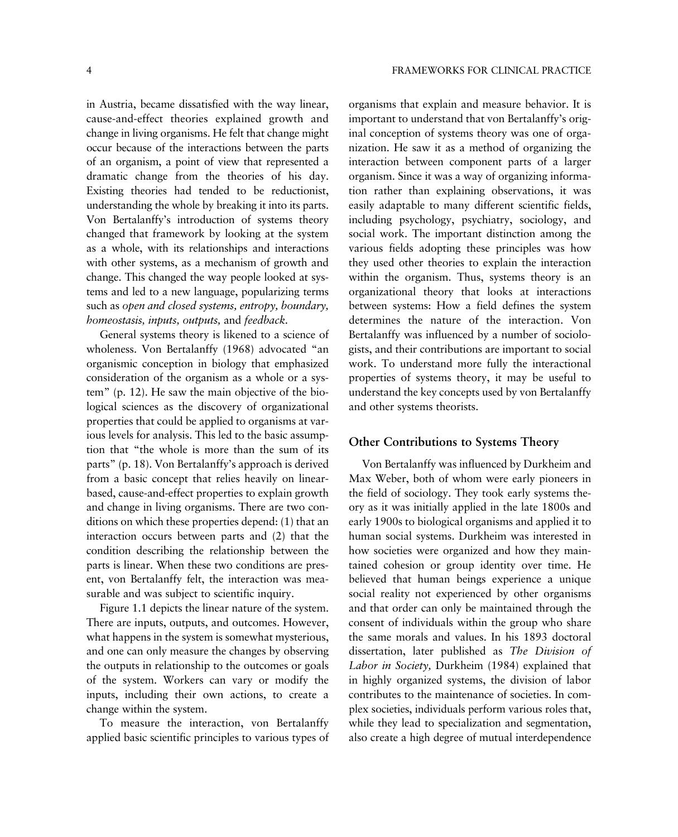in Austria, became dissatisfied with the way linear, cause-and-effect theories explained growth and change in living organisms. He felt that change might occur because of the interactions between the parts of an organism, a point of view that represented a dramatic change from the theories of his day. Existing theories had tended to be reductionist, understanding the whole by breaking it into its parts. Von Bertalanffy's introduction of systems theory changed that framework by looking at the system as a whole, with its relationships and interactions with other systems, as a mechanism of growth and change. This changed the way people looked at systems and led to a new language, popularizing terms such as *open and closed systems, entropy, boundary, homeostasis, inputs, outputs,* and *feedback.*

General systems theory is likened to a science of wholeness. Von Bertalanffy (1968) advocated "an organismic conception in biology that emphasized consideration of the organism as a whole or a system" (p. 12). He saw the main objective of the biological sciences as the discovery of organizational properties that could be applied to organisms at various levels for analysis. This led to the basic assumption that "the whole is more than the sum of its parts" (p. 18). Von Bertalanffy's approach is derived from a basic concept that relies heavily on linearbased, cause-and-effect properties to explain growth and change in living organisms. There are two conditions on which these properties depend: (1) that an interaction occurs between parts and (2) that the condition describing the relationship between the parts is linear. When these two conditions are present, von Bertalanffy felt, the interaction was measurable and was subject to scientific inquiry.

Figure 1.1 depicts the linear nature of the system. There are inputs, outputs, and outcomes. However, what happens in the system is somewhat mysterious, and one can only measure the changes by observing the outputs in relationship to the outcomes or goals of the system. Workers can vary or modify the inputs, including their own actions, to create a change within the system.

To measure the interaction, von Bertalanffy applied basic scientific principles to various types of organisms that explain and measure behavior. It is important to understand that von Bertalanffy's original conception of systems theory was one of organization. He saw it as a method of organizing the interaction between component parts of a larger organism. Since it was a way of organizing information rather than explaining observations, it was easily adaptable to many different scientific fields, including psychology, psychiatry, sociology, and social work. The important distinction among the various fields adopting these principles was how they used other theories to explain the interaction within the organism. Thus, systems theory is an organizational theory that looks at interactions between systems: How a field defines the system determines the nature of the interaction. Von Bertalanffy was influenced by a number of sociologists, and their contributions are important to social work. To understand more fully the interactional properties of systems theory, it may be useful to understand the key concepts used by von Bertalanffy and other systems theorists.

# **Other Contributions to Systems Theory**

Von Bertalanffy was influenced by Durkheim and Max Weber, both of whom were early pioneers in the field of sociology. They took early systems theory as it was initially applied in the late 1800s and early 1900s to biological organisms and applied it to human social systems. Durkheim was interested in how societies were organized and how they maintained cohesion or group identity over time. He believed that human beings experience a unique social reality not experienced by other organisms and that order can only be maintained through the consent of individuals within the group who share the same morals and values. In his 1893 doctoral dissertation, later published as *The Division of Labor in Society,* Durkheim (1984) explained that in highly organized systems, the division of labor contributes to the maintenance of societies. In complex societies, individuals perform various roles that, while they lead to specialization and segmentation, also create a high degree of mutual interdependence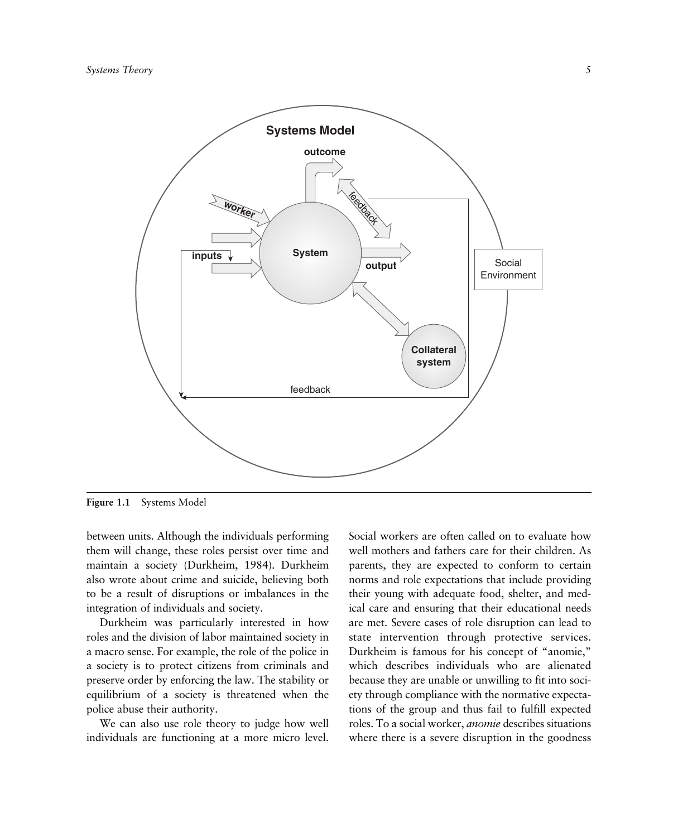

**Figure 1.1** Systems Model

between units. Although the individuals performing them will change, these roles persist over time and maintain a society (Durkheim, 1984). Durkheim also wrote about crime and suicide, believing both to be a result of disruptions or imbalances in the integration of individuals and society.

Durkheim was particularly interested in how roles and the division of labor maintained society in a macro sense. For example, the role of the police in a society is to protect citizens from criminals and preserve order by enforcing the law. The stability or equilibrium of a society is threatened when the police abuse their authority.

We can also use role theory to judge how well individuals are functioning at a more micro level. Social workers are often called on to evaluate how well mothers and fathers care for their children. As parents, they are expected to conform to certain norms and role expectations that include providing their young with adequate food, shelter, and medical care and ensuring that their educational needs are met. Severe cases of role disruption can lead to state intervention through protective services. Durkheim is famous for his concept of "anomie," which describes individuals who are alienated because they are unable or unwilling to fit into society through compliance with the normative expectations of the group and thus fail to fulfill expected roles. To a social worker, *anomie* describes situations where there is a severe disruption in the goodness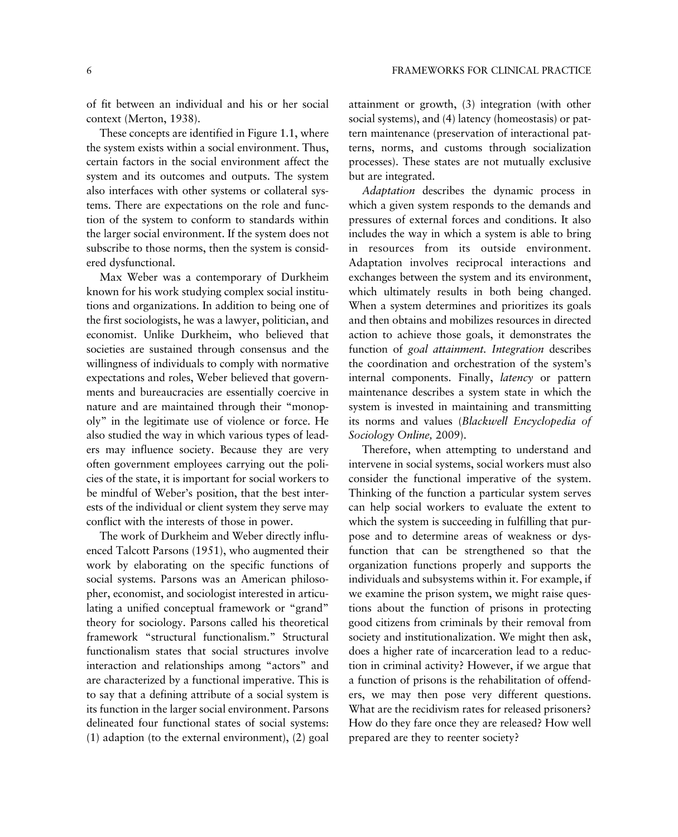of fit between an individual and his or her social context (Merton, 1938).

These concepts are identified in Figure 1.1, where the system exists within a social environment. Thus, certain factors in the social environment affect the system and its outcomes and outputs. The system also interfaces with other systems or collateral systems. There are expectations on the role and function of the system to conform to standards within the larger social environment. If the system does not subscribe to those norms, then the system is considered dysfunctional.

Max Weber was a contemporary of Durkheim known for his work studying complex social institutions and organizations. In addition to being one of the first sociologists, he was a lawyer, politician, and economist. Unlike Durkheim, who believed that societies are sustained through consensus and the willingness of individuals to comply with normative expectations and roles, Weber believed that governments and bureaucracies are essentially coercive in nature and are maintained through their "monopoly" in the legitimate use of violence or force. He also studied the way in which various types of leaders may influence society. Because they are very often government employees carrying out the policies of the state, it is important for social workers to be mindful of Weber's position, that the best interests of the individual or client system they serve may conflict with the interests of those in power.

The work of Durkheim and Weber directly influenced Talcott Parsons (1951), who augmented their work by elaborating on the specific functions of social systems. Parsons was an American philosopher, economist, and sociologist interested in articulating a unified conceptual framework or "grand" theory for sociology. Parsons called his theoretical framework "structural functionalism." Structural functionalism states that social structures involve interaction and relationships among "actors" and are characterized by a functional imperative. This is to say that a defining attribute of a social system is its function in the larger social environment. Parsons delineated four functional states of social systems: (1) adaption (to the external environment), (2) goal attainment or growth, (3) integration (with other social systems), and (4) latency (homeostasis) or pattern maintenance (preservation of interactional patterns, norms, and customs through socialization processes). These states are not mutually exclusive but are integrated.

*Adaptation* describes the dynamic process in which a given system responds to the demands and pressures of external forces and conditions. It also includes the way in which a system is able to bring in resources from its outside environment. Adaptation involves reciprocal interactions and exchanges between the system and its environment, which ultimately results in both being changed. When a system determines and prioritizes its goals and then obtains and mobilizes resources in directed action to achieve those goals, it demonstrates the function of *goal attainment. Integration* describes the coordination and orchestration of the system's internal components. Finally, *latency* or pattern maintenance describes a system state in which the system is invested in maintaining and transmitting its norms and values (*Blackwell Encyclopedia of Sociology Online,* 2009).

Therefore, when attempting to understand and intervene in social systems, social workers must also consider the functional imperative of the system. Thinking of the function a particular system serves can help social workers to evaluate the extent to which the system is succeeding in fulfilling that purpose and to determine areas of weakness or dysfunction that can be strengthened so that the organization functions properly and supports the individuals and subsystems within it. For example, if we examine the prison system, we might raise questions about the function of prisons in protecting good citizens from criminals by their removal from society and institutionalization. We might then ask, does a higher rate of incarceration lead to a reduction in criminal activity? However, if we argue that a function of prisons is the rehabilitation of offenders, we may then pose very different questions. What are the recidivism rates for released prisoners? How do they fare once they are released? How well prepared are they to reenter society?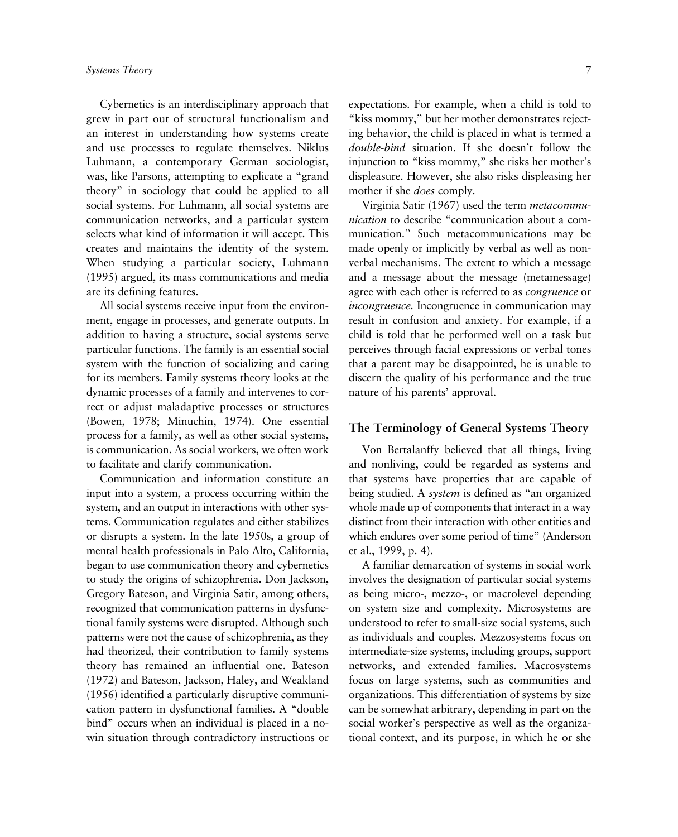Cybernetics is an interdisciplinary approach that grew in part out of structural functionalism and an interest in understanding how systems create and use processes to regulate themselves. Niklus Luhmann, a contemporary German sociologist, was, like Parsons, attempting to explicate a "grand theory" in sociology that could be applied to all social systems. For Luhmann, all social systems are communication networks, and a particular system selects what kind of information it will accept. This creates and maintains the identity of the system. When studying a particular society, Luhmann (1995) argued, its mass communications and media are its defining features.

All social systems receive input from the environment, engage in processes, and generate outputs. In addition to having a structure, social systems serve particular functions. The family is an essential social system with the function of socializing and caring for its members. Family systems theory looks at the dynamic processes of a family and intervenes to correct or adjust maladaptive processes or structures (Bowen, 1978; Minuchin, 1974). One essential process for a family, as well as other social systems, is communication. As social workers, we often work to facilitate and clarify communication.

Communication and information constitute an input into a system, a process occurring within the system, and an output in interactions with other systems. Communication regulates and either stabilizes or disrupts a system. In the late 1950s, a group of mental health professionals in Palo Alto, California, began to use communication theory and cybernetics to study the origins of schizophrenia. Don Jackson, Gregory Bateson, and Virginia Satir, among others, recognized that communication patterns in dysfunctional family systems were disrupted. Although such patterns were not the cause of schizophrenia, as they had theorized, their contribution to family systems theory has remained an influential one. Bateson (1972) and Bateson, Jackson, Haley, and Weakland (1956) identified a particularly disruptive communication pattern in dysfunctional families. A "double bind" occurs when an individual is placed in a nowin situation through contradictory instructions or expectations. For example, when a child is told to "kiss mommy," but her mother demonstrates rejecting behavior, the child is placed in what is termed a *double-bind* situation. If she doesn't follow the injunction to "kiss mommy," she risks her mother's displeasure. However, she also risks displeasing her mother if she *does* comply.

Virginia Satir (1967) used the term *metacommunication* to describe "communication about a communication." Such metacommunications may be made openly or implicitly by verbal as well as nonverbal mechanisms. The extent to which a message and a message about the message (metamessage) agree with each other is referred to as *congruence* or *incongruence.* Incongruence in communication may result in confusion and anxiety. For example, if a child is told that he performed well on a task but perceives through facial expressions or verbal tones that a parent may be disappointed, he is unable to discern the quality of his performance and the true nature of his parents' approval.

# **The Terminology of General Systems Theory**

Von Bertalanffy believed that all things, living and nonliving, could be regarded as systems and that systems have properties that are capable of being studied. A *system* is defined as "an organized whole made up of components that interact in a way distinct from their interaction with other entities and which endures over some period of time" (Anderson et al., 1999, p. 4).

A familiar demarcation of systems in social work involves the designation of particular social systems as being micro-, mezzo-, or macrolevel depending on system size and complexity. Microsystems are understood to refer to small-size social systems, such as individuals and couples. Mezzosystems focus on intermediate-size systems, including groups, support networks, and extended families. Macrosystems focus on large systems, such as communities and organizations. This differentiation of systems by size can be somewhat arbitrary, depending in part on the social worker's perspective as well as the organizational context, and its purpose, in which he or she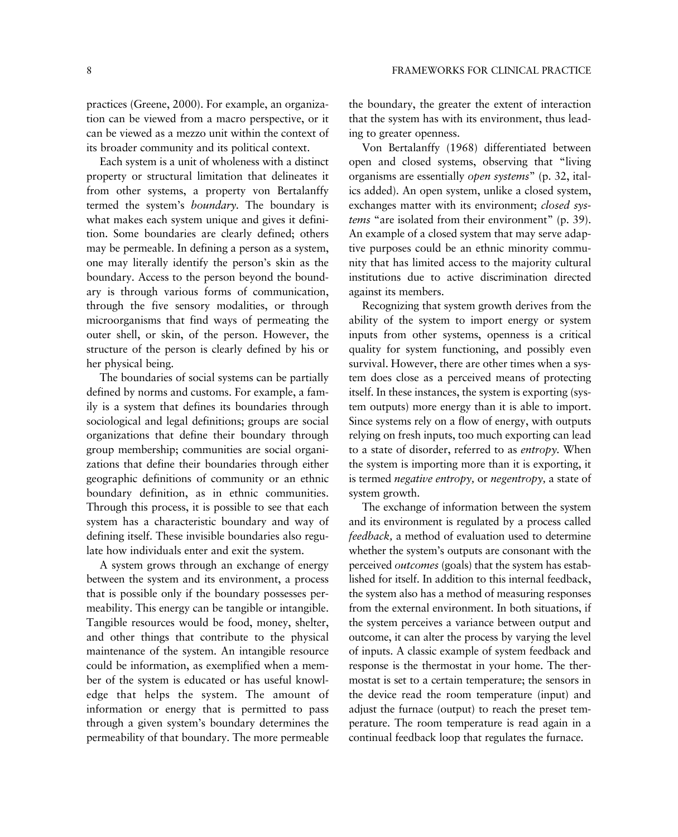practices (Greene, 2000). For example, an organization can be viewed from a macro perspective, or it can be viewed as a mezzo unit within the context of its broader community and its political context.

Each system is a unit of wholeness with a distinct property or structural limitation that delineates it from other systems, a property von Bertalanffy termed the system's *boundary.* The boundary is what makes each system unique and gives it definition. Some boundaries are clearly defined; others may be permeable. In defining a person as a system, one may literally identify the person's skin as the boundary. Access to the person beyond the boundary is through various forms of communication, through the five sensory modalities, or through microorganisms that find ways of permeating the outer shell, or skin, of the person. However, the structure of the person is clearly defined by his or her physical being.

The boundaries of social systems can be partially defined by norms and customs. For example, a family is a system that defines its boundaries through sociological and legal definitions; groups are social organizations that define their boundary through group membership; communities are social organizations that define their boundaries through either geographic definitions of community or an ethnic boundary definition, as in ethnic communities. Through this process, it is possible to see that each system has a characteristic boundary and way of defining itself. These invisible boundaries also regulate how individuals enter and exit the system.

A system grows through an exchange of energy between the system and its environment, a process that is possible only if the boundary possesses permeability. This energy can be tangible or intangible. Tangible resources would be food, money, shelter, and other things that contribute to the physical maintenance of the system. An intangible resource could be information, as exemplified when a member of the system is educated or has useful knowledge that helps the system. The amount of information or energy that is permitted to pass through a given system's boundary determines the permeability of that boundary. The more permeable the boundary, the greater the extent of interaction that the system has with its environment, thus leading to greater openness.

Von Bertalanffy (1968) differentiated between open and closed systems, observing that "living organisms are essentially *open systems*" (p. 32, italics added). An open system, unlike a closed system, exchanges matter with its environment; *closed systems* "are isolated from their environment" (p. 39). An example of a closed system that may serve adaptive purposes could be an ethnic minority community that has limited access to the majority cultural institutions due to active discrimination directed against its members.

Recognizing that system growth derives from the ability of the system to import energy or system inputs from other systems, openness is a critical quality for system functioning, and possibly even survival. However, there are other times when a system does close as a perceived means of protecting itself. In these instances, the system is exporting (system outputs) more energy than it is able to import. Since systems rely on a flow of energy, with outputs relying on fresh inputs, too much exporting can lead to a state of disorder, referred to as *entropy.* When the system is importing more than it is exporting, it is termed *negative entropy,* or *negentropy,* a state of system growth.

The exchange of information between the system and its environment is regulated by a process called *feedback,* a method of evaluation used to determine whether the system's outputs are consonant with the perceived *outcomes* (goals) that the system has established for itself. In addition to this internal feedback, the system also has a method of measuring responses from the external environment. In both situations, if the system perceives a variance between output and outcome, it can alter the process by varying the level of inputs. A classic example of system feedback and response is the thermostat in your home. The thermostat is set to a certain temperature; the sensors in the device read the room temperature (input) and adjust the furnace (output) to reach the preset temperature. The room temperature is read again in a continual feedback loop that regulates the furnace.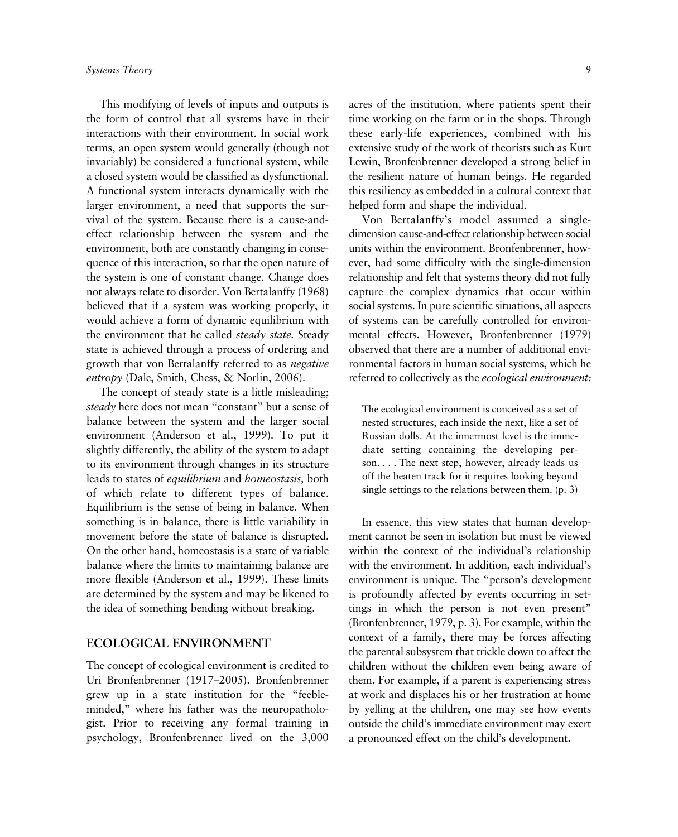This modifying of levels of inputs and outputs is the form of control that all systems have in their interactions with their environment. In social work terms, an open system would generally (though not invariably) be considered a functional system, while a closed system would be classified as dysfunctional. A functional system interacts dynamically with the larger environment, a need that supports the survival of the system. Because there is a cause-andeffect relationship between the system and the environment, both are constantly changing in consequence of this interaction, so that the open nature of the system is one of constant change. Change does not always relate to disorder. Von Bertalanffy (1968) believed that if a system was working properly, it would achieve a form of dynamic equilibrium with the environment that he called *steady state.* Steady state is achieved through a process of ordering and growth that von Bertalanffy referred to as *negative entropy* (Dale, Smith, Chess, & Norlin, 2006).

The concept of steady state is a little misleading; *steady* here does not mean "constant" but a sense of balance between the system and the larger social environment (Anderson et al., 1999). To put it slightly differently, the ability of the system to adapt to its environment through changes in its structure leads to states of *equilibrium* and *homeostasis,* both of which relate to different types of balance. Equilibrium is the sense of being in balance. When something is in balance, there is little variability in movement before the state of balance is disrupted. On the other hand, homeostasis is a state of variable balance where the limits to maintaining balance are more flexible (Anderson et al., 1999). These limits are determined by the system and may be likened to the idea of something bending without breaking.

# **ECOLOGICAL ENVIRONMENT**

The concept of ecological environment is credited to Uri Bronfenbrenner (1917–2005). Bronfenbrenner grew up in a state institution for the "feebleminded," where his father was the neuropathologist. Prior to receiving any formal training in psychology, Bronfenbrenner lived on the 3,000 acres of the institution, where patients spent their time working on the farm or in the shops. Through these early-life experiences, combined with his extensive study of the work of theorists such as Kurt Lewin, Bronfenbrenner developed a strong belief in the resilient nature of human beings. He regarded this resiliency as embedded in a cultural context that helped form and shape the individual.

Von Bertalanffy's model assumed a singledimension cause-and-effect relationship between social units within the environment. Bronfenbrenner, however, had some difficulty with the single-dimension relationship and felt that systems theory did not fully capture the complex dynamics that occur within social systems. In pure scientific situations, all aspects of systems can be carefully controlled for environmental effects. However, Bronfenbrenner (1979) observed that there are a number of additional environmental factors in human social systems, which he referred to collectively as the *ecological environment:*

The ecological environment is conceived as a set of nested structures, each inside the next, like a set of Russian dolls. At the innermost level is the immediate setting containing the developing person. ... The next step, however, already leads us off the beaten track for it requires looking beyond single settings to the relations between them. (p. 3)

In essence, this view states that human development cannot be seen in isolation but must be viewed within the context of the individual's relationship with the environment. In addition, each individual's environment is unique. The "person's development is profoundly affected by events occurring in settings in which the person is not even present" (Bronfenbrenner, 1979, p. 3). For example, within the context of a family, there may be forces affecting the parental subsystem that trickle down to affect the children without the children even being aware of them. For example, if a parent is experiencing stress at work and displaces his or her frustration at home by yelling at the children, one may see how events outside the child's immediate environment may exert a pronounced effect on the child's development.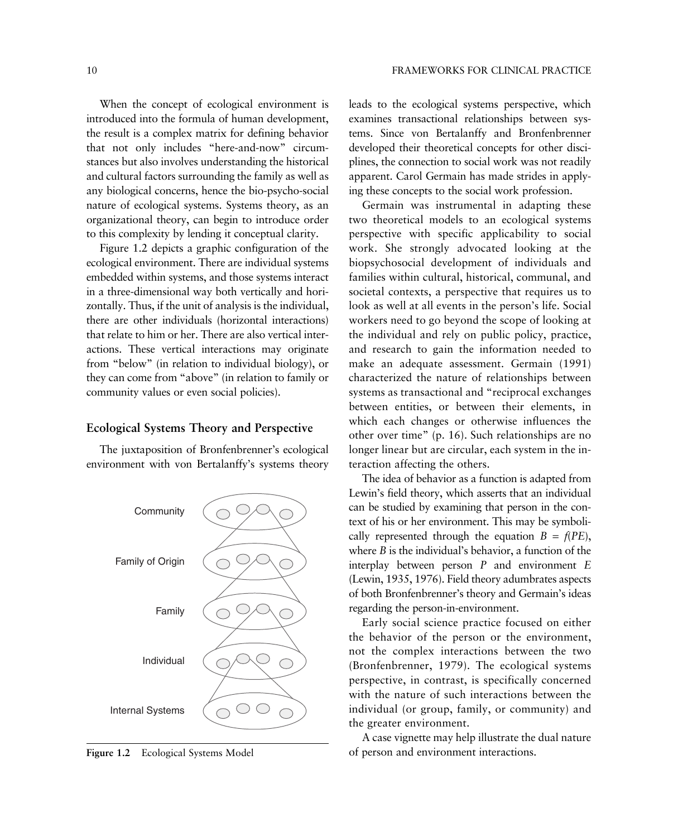When the concept of ecological environment is introduced into the formula of human development, the result is a complex matrix for defining behavior that not only includes "here-and-now" circumstances but also involves understanding the historical and cultural factors surrounding the family as well as any biological concerns, hence the bio-psycho-social nature of ecological systems. Systems theory, as an organizational theory, can begin to introduce order to this complexity by lending it conceptual clarity.

Figure 1.2 depicts a graphic configuration of the ecological environment. There are individual systems embedded within systems, and those systems interact in a three-dimensional way both vertically and horizontally. Thus, if the unit of analysis is the individual, there are other individuals (horizontal interactions) that relate to him or her. There are also vertical interactions. These vertical interactions may originate from "below" (in relation to individual biology), or they can come from "above" (in relation to family or community values or even social policies).

# **Ecological Systems Theory and Perspective**

The juxtaposition of Bronfenbrenner's ecological environment with von Bertalanffy's systems theory



**Figure 1.2** Ecological Systems Model

leads to the ecological systems perspective, which examines transactional relationships between systems. Since von Bertalanffy and Bronfenbrenner developed their theoretical concepts for other disciplines, the connection to social work was not readily apparent. Carol Germain has made strides in applying these concepts to the social work profession.

Germain was instrumental in adapting these two theoretical models to an ecological systems perspective with specific applicability to social work. She strongly advocated looking at the biopsychosocial development of individuals and families within cultural, historical, communal, and societal contexts, a perspective that requires us to look as well at all events in the person's life. Social workers need to go beyond the scope of looking at the individual and rely on public policy, practice, and research to gain the information needed to make an adequate assessment. Germain (1991) characterized the nature of relationships between systems as transactional and "reciprocal exchanges between entities, or between their elements, in which each changes or otherwise influences the other over time" (p. 16). Such relationships are no longer linear but are circular, each system in the interaction affecting the others.

The idea of behavior as a function is adapted from Lewin's field theory, which asserts that an individual can be studied by examining that person in the context of his or her environment. This may be symbolically represented through the equation  $B = f(PE)$ , where *B* is the individual's behavior, a function of the interplay between person *P* and environment *E* (Lewin, 1935, 1976). Field theory adumbrates aspects of both Bronfenbrenner's theory and Germain's ideas regarding the person-in-environment.

Early social science practice focused on either the behavior of the person or the environment, not the complex interactions between the two (Bronfenbrenner, 1979). The ecological systems perspective, in contrast, is specifically concerned with the nature of such interactions between the individual (or group, family, or community) and the greater environment.

A case vignette may help illustrate the dual nature of person and environment interactions.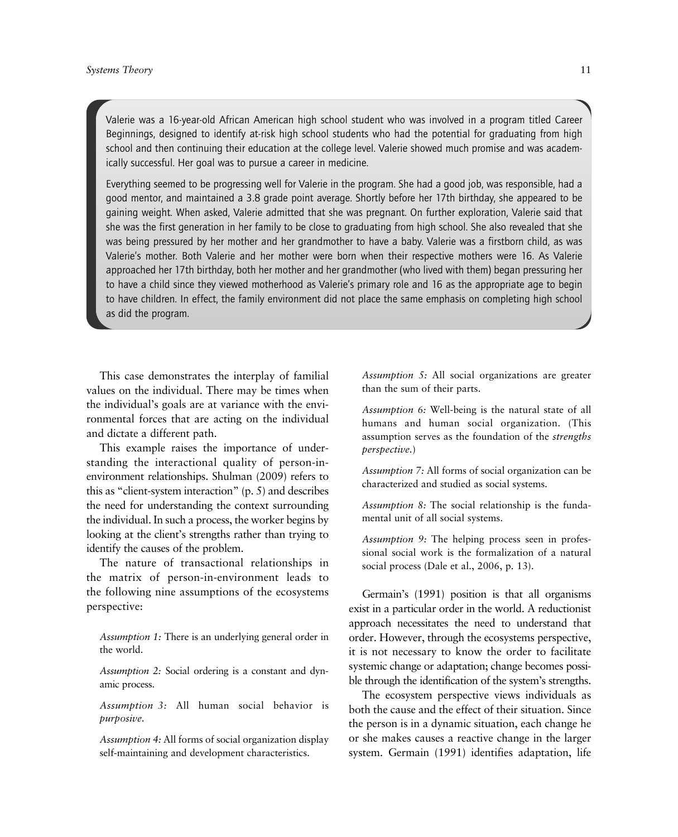Valerie was a 16-year-old African American high school student who was involved in a program titled Career Beginnings, designed to identify at-risk high school students who had the potential for graduating from high school and then continuing their education at the college level. Valerie showed much promise and was academically successful. Her goal was to pursue a career in medicine.

Everything seemed to be progressing well for Valerie in the program. She had a good job, was responsible, had a good mentor, and maintained a 3.8 grade point average. Shortly before her 17th birthday, she appeared to be gaining weight. When asked, Valerie admitted that she was pregnant. On further exploration, Valerie said that she was the first generation in her family to be close to graduating from high school. She also revealed that she was being pressured by her mother and her grandmother to have a baby. Valerie was a firstborn child, as was Valerie's mother. Both Valerie and her mother were born when their respective mothers were 16. As Valerie approached her 17th birthday, both her mother and her grandmother (who lived with them) began pressuring her to have a child since they viewed motherhood as Valerie's primary role and 16 as the appropriate age to begin to have children. In effect, the family environment did not place the same emphasis on completing high school as did the program.

This case demonstrates the interplay of familial values on the individual. There may be times when the individual's goals are at variance with the environmental forces that are acting on the individual and dictate a different path.

This example raises the importance of understanding the interactional quality of person-inenvironment relationships. Shulman (2009) refers to this as "client-system interaction" (p. 5) and describes the need for understanding the context surrounding the individual. In such a process, the worker begins by looking at the client's strengths rather than trying to identify the causes of the problem.

The nature of transactional relationships in the matrix of person-in-environment leads to the following nine assumptions of the ecosystems perspective:

*Assumption 1:* There is an underlying general order in the world.

*Assumption 2:* Social ordering is a constant and dynamic process.

*Assumption 3:* All human social behavior is *purposive.*

*Assumption 4:* All forms of social organization display self-maintaining and development characteristics.

*Assumption 5:* All social organizations are greater than the sum of their parts.

*Assumption 6:* Well-being is the natural state of all humans and human social organization. (This assumption serves as the foundation of the *strengths perspective.*)

*Assumption 7:* All forms of social organization can be characterized and studied as social systems.

*Assumption 8:* The social relationship is the fundamental unit of all social systems.

*Assumption 9:* The helping process seen in professional social work is the formalization of a natural social process (Dale et al., 2006, p. 13).

Germain's (1991) position is that all organisms exist in a particular order in the world. A reductionist approach necessitates the need to understand that order. However, through the ecosystems perspective, it is not necessary to know the order to facilitate systemic change or adaptation; change becomes possible through the identification of the system's strengths.

The ecosystem perspective views individuals as both the cause and the effect of their situation. Since the person is in a dynamic situation, each change he or she makes causes a reactive change in the larger system. Germain (1991) identifies adaptation, life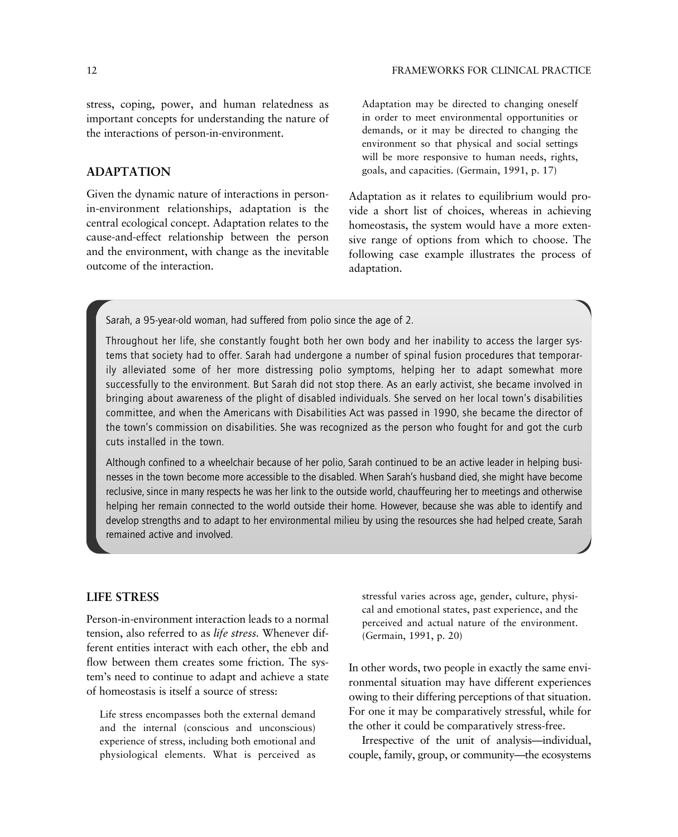stress, coping, power, and human relatedness as important concepts for understanding the nature of the interactions of person-in-environment.

# **ADAPTATION**

Given the dynamic nature of interactions in personin-environment relationships, adaptation is the central ecological concept. Adaptation relates to the cause-and-effect relationship between the person and the environment, with change as the inevitable outcome of the interaction.

Adaptation may be directed to changing oneself in order to meet environmental opportunities or demands, or it may be directed to changing the environment so that physical and social settings will be more responsive to human needs, rights, goals, and capacities. (Germain, 1991, p. 17)

Adaptation as it relates to equilibrium would provide a short list of choices, whereas in achieving homeostasis, the system would have a more extensive range of options from which to choose. The following case example illustrates the process of adaptation.

Sarah, a 95-year-old woman, had suffered from polio since the age of 2.

Throughout her life, she constantly fought both her own body and her inability to access the larger systems that society had to offer. Sarah had undergone a number of spinal fusion procedures that temporarily alleviated some of her more distressing polio symptoms, helping her to adapt somewhat more successfully to the environment. But Sarah did not stop there. As an early activist, she became involved in bringing about awareness of the plight of disabled individuals. She served on her local town's disabilities committee, and when the Americans with Disabilities Act was passed in 1990, she became the director of the town's commission on disabilities. She was recognized as the person who fought for and got the curb cuts installed in the town.

Although confined to a wheelchair because of her polio, Sarah continued to be an active leader in helping businesses in the town become more accessible to the disabled. When Sarah's husband died, she might have become reclusive, since in many respects he was her link to the outside world, chauffeuring her to meetings and otherwise helping her remain connected to the world outside their home. However, because she was able to identify and develop strengths and to adapt to her environmental milieu by using the resources she had helped create, Sarah remained active and involved.

# **LIFE STRESS**

Person-in-environment interaction leads to a normal tension, also referred to as *life stress.* Whenever different entities interact with each other, the ebb and flow between them creates some friction. The system's need to continue to adapt and achieve a state of homeostasis is itself a source of stress:

Life stress encompasses both the external demand and the internal (conscious and unconscious) experience of stress, including both emotional and physiological elements. What is perceived as stressful varies across age, gender, culture, physical and emotional states, past experience, and the perceived and actual nature of the environment. (Germain, 1991, p. 20)

In other words, two people in exactly the same environmental situation may have different experiences owing to their differing perceptions of that situation. For one it may be comparatively stressful, while for the other it could be comparatively stress-free.

Irrespective of the unit of analysis—individual, couple, family, group, or community—the ecosystems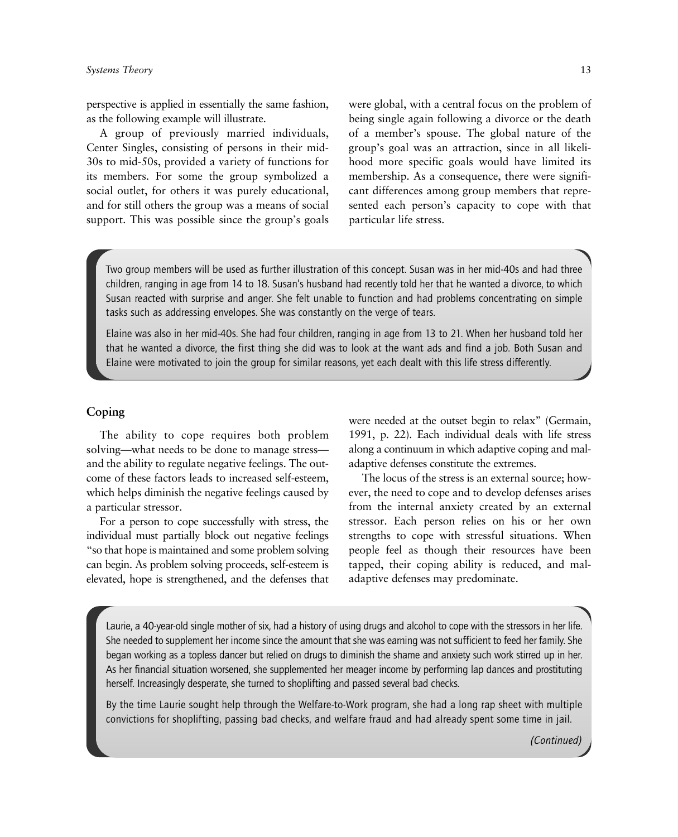perspective is applied in essentially the same fashion, as the following example will illustrate.

A group of previously married individuals, Center Singles, consisting of persons in their mid-30s to mid-50s, provided a variety of functions for its members. For some the group symbolized a social outlet, for others it was purely educational, and for still others the group was a means of social support. This was possible since the group's goals

were global, with a central focus on the problem of being single again following a divorce or the death of a member's spouse. The global nature of the group's goal was an attraction, since in all likelihood more specific goals would have limited its membership. As a consequence, there were significant differences among group members that represented each person's capacity to cope with that particular life stress.

Two group members will be used as further illustration of this concept. Susan was in her mid-40s and had three children, ranging in age from 14 to 18. Susan's husband had recently told her that he wanted a divorce, to which Susan reacted with surprise and anger. She felt unable to function and had problems concentrating on simple tasks such as addressing envelopes. She was constantly on the verge of tears.

Elaine was also in her mid-40s. She had four children, ranging in age from 13 to 21. When her husband told her that he wanted a divorce, the first thing she did was to look at the want ads and find a job. Both Susan and Elaine were motivated to join the group for similar reasons, yet each dealt with this life stress differently.

# **Coping**

The ability to cope requires both problem solving—what needs to be done to manage stress and the ability to regulate negative feelings. The outcome of these factors leads to increased self-esteem, which helps diminish the negative feelings caused by a particular stressor.

For a person to cope successfully with stress, the individual must partially block out negative feelings "so that hope is maintained and some problem solving can begin. As problem solving proceeds, self-esteem is elevated, hope is strengthened, and the defenses that were needed at the outset begin to relax" (Germain, 1991, p. 22). Each individual deals with life stress along a continuum in which adaptive coping and maladaptive defenses constitute the extremes.

The locus of the stress is an external source; however, the need to cope and to develop defenses arises from the internal anxiety created by an external stressor. Each person relies on his or her own strengths to cope with stressful situations. When people feel as though their resources have been tapped, their coping ability is reduced, and maladaptive defenses may predominate.

Laurie, a 40-year-old single mother of six, had a history of using drugs and alcohol to cope with the stressors in her life. She needed to supplement her income since the amount that she was earning was not sufficient to feed her family. She began working as a topless dancer but relied on drugs to diminish the shame and anxiety such work stirred up in her. As her financial situation worsened, she supplemented her meager income by performing lap dances and prostituting herself. Increasingly desperate, she turned to shoplifting and passed several bad checks.

By the time Laurie sought help through the Welfare-to-Work program, she had a long rap sheet with multiple convictions for shoplifting, passing bad checks, and welfare fraud and had already spent some time in jail.

*(Continued)*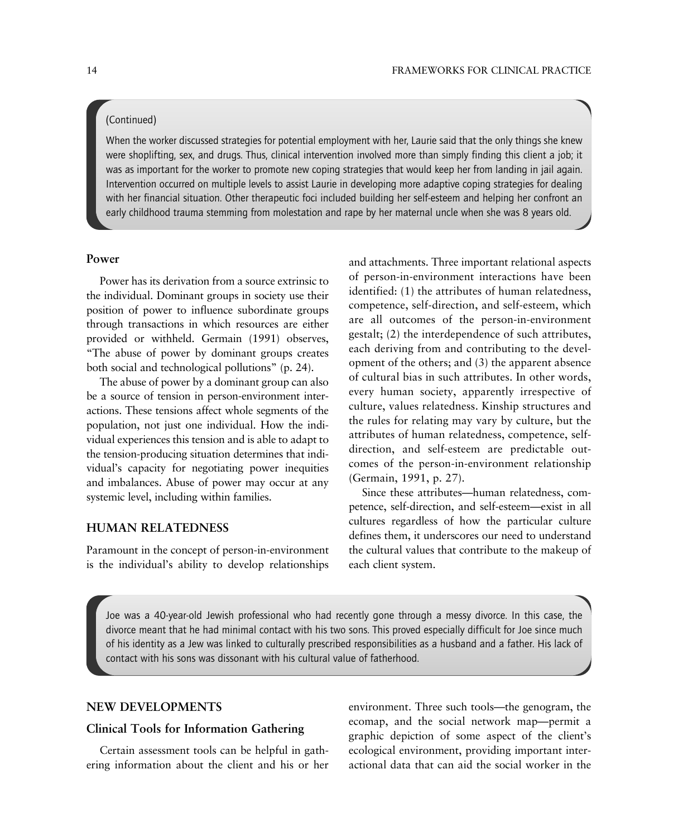# (Continued)

When the worker discussed strategies for potential employment with her, Laurie said that the only things she knew were shoplifting, sex, and drugs. Thus, clinical intervention involved more than simply finding this client a job; it was as important for the worker to promote new coping strategies that would keep her from landing in jail again. Intervention occurred on multiple levels to assist Laurie in developing more adaptive coping strategies for dealing with her financial situation. Other therapeutic foci included building her self-esteem and helping her confront an early childhood trauma stemming from molestation and rape by her maternal uncle when she was 8 years old.

#### **Power**

Power has its derivation from a source extrinsic to the individual. Dominant groups in society use their position of power to influence subordinate groups through transactions in which resources are either provided or withheld. Germain (1991) observes, "The abuse of power by dominant groups creates both social and technological pollutions" (p. 24).

The abuse of power by a dominant group can also be a source of tension in person-environment interactions. These tensions affect whole segments of the population, not just one individual. How the individual experiences this tension and is able to adapt to the tension-producing situation determines that individual's capacity for negotiating power inequities and imbalances. Abuse of power may occur at any systemic level, including within families.

# **HUMAN RELATEDNESS**

Paramount in the concept of person-in-environment is the individual's ability to develop relationships and attachments. Three important relational aspects of person-in-environment interactions have been identified: (1) the attributes of human relatedness, competence, self-direction, and self-esteem, which are all outcomes of the person-in-environment gestalt; (2) the interdependence of such attributes, each deriving from and contributing to the development of the others; and (3) the apparent absence of cultural bias in such attributes. In other words, every human society, apparently irrespective of culture, values relatedness. Kinship structures and the rules for relating may vary by culture, but the attributes of human relatedness, competence, selfdirection, and self-esteem are predictable outcomes of the person-in-environment relationship (Germain, 1991, p. 27).

Since these attributes—human relatedness, competence, self-direction, and self-esteem—exist in all cultures regardless of how the particular culture defines them, it underscores our need to understand the cultural values that contribute to the makeup of each client system.

Joe was a 40-year-old Jewish professional who had recently gone through a messy divorce. In this case, the divorce meant that he had minimal contact with his two sons. This proved especially difficult for Joe since much of his identity as a Jew was linked to culturally prescribed responsibilities as a husband and a father. His lack of contact with his sons was dissonant with his cultural value of fatherhood.

# **NEW DEVELOPMENTS**

# **Clinical Tools for Information Gathering**

Certain assessment tools can be helpful in gathering information about the client and his or her environment. Three such tools—the genogram, the ecomap, and the social network map—permit a graphic depiction of some aspect of the client's ecological environment, providing important interactional data that can aid the social worker in the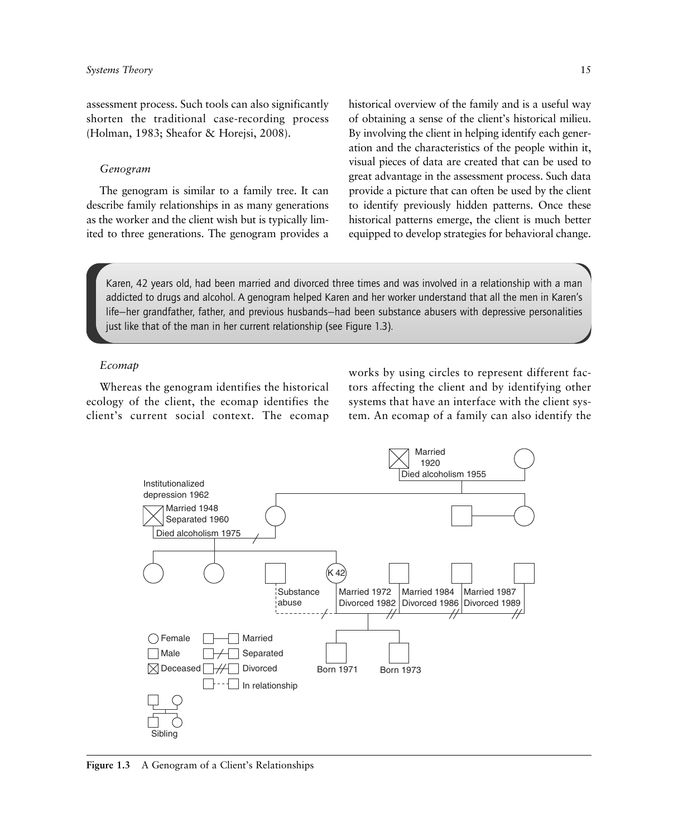assessment process. Such tools can also significantly shorten the traditional case-recording process (Holman, 1983; Sheafor & Horejsi, 2008).

#### *Genogram*

The genogram is similar to a family tree. It can describe family relationships in as many generations as the worker and the client wish but is typically limited to three generations. The genogram provides a historical overview of the family and is a useful way of obtaining a sense of the client's historical milieu. By involving the client in helping identify each generation and the characteristics of the people within it, visual pieces of data are created that can be used to great advantage in the assessment process. Such data provide a picture that can often be used by the client to identify previously hidden patterns. Once these historical patterns emerge, the client is much better equipped to develop strategies for behavioral change.

Karen, 42 years old, had been married and divorced three times and was involved in a relationship with a man addicted to drugs and alcohol. A genogram helped Karen and her worker understand that all the men in Karen's life—her grandfather, father, and previous husbands—had been substance abusers with depressive personalities just like that of the man in her current relationship (see Figure 1.3).

#### *Ecomap*

Whereas the genogram identifies the historical ecology of the client, the ecomap identifies the client's current social context. The ecomap works by using circles to represent different factors affecting the client and by identifying other systems that have an interface with the client system. An ecomap of a family can also identify the



**Figure 1.3** A Genogram of a Client's Relationships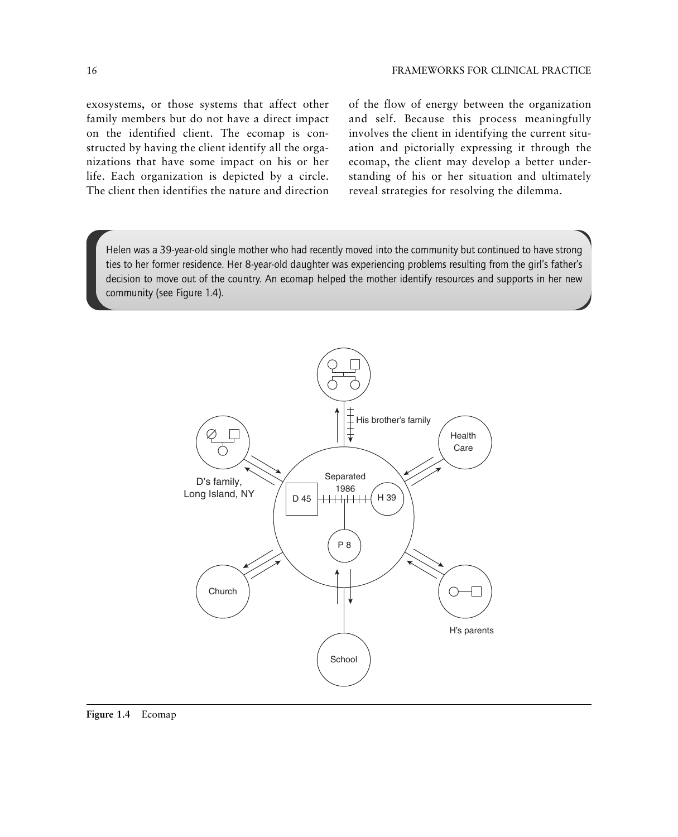exosystems, or those systems that affect other family members but do not have a direct impact on the identified client. The ecomap is constructed by having the client identify all the organizations that have some impact on his or her life. Each organization is depicted by a circle. The client then identifies the nature and direction of the flow of energy between the organization and self. Because this process meaningfully involves the client in identifying the current situation and pictorially expressing it through the ecomap, the client may develop a better understanding of his or her situation and ultimately reveal strategies for resolving the dilemma.

Helen was a 39-year-old single mother who had recently moved into the community but continued to have strong ties to her former residence. Her 8-year-old daughter was experiencing problems resulting from the girl's father's decision to move out of the country. An ecomap helped the mother identify resources and supports in her new community (see Figure 1.4).



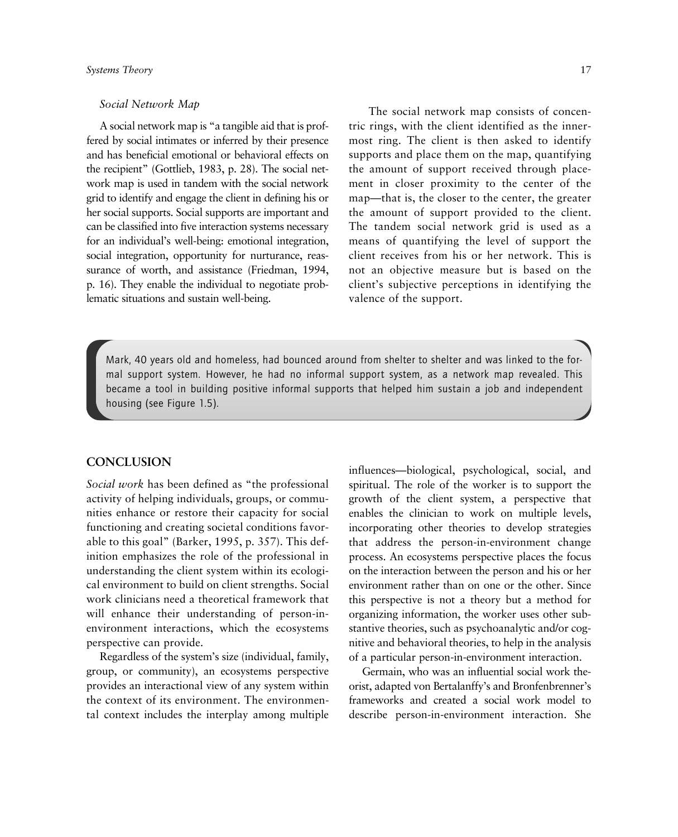#### *Social Network Map*

A social network map is "a tangible aid that is proffered by social intimates or inferred by their presence and has beneficial emotional or behavioral effects on the recipient" (Gottlieb, 1983, p. 28). The social network map is used in tandem with the social network grid to identify and engage the client in defining his or her social supports. Social supports are important and can be classified into five interaction systems necessary for an individual's well-being: emotional integration, social integration, opportunity for nurturance, reassurance of worth, and assistance (Friedman, 1994, p. 16). They enable the individual to negotiate problematic situations and sustain well-being.

The social network map consists of concentric rings, with the client identified as the innermost ring. The client is then asked to identify supports and place them on the map, quantifying the amount of support received through placement in closer proximity to the center of the map—that is, the closer to the center, the greater the amount of support provided to the client. The tandem social network grid is used as a means of quantifying the level of support the client receives from his or her network. This is not an objective measure but is based on the client's subjective perceptions in identifying the valence of the support.

Mark, 40 years old and homeless, had bounced around from shelter to shelter and was linked to the formal support system. However, he had no informal support system, as a network map revealed. This became a tool in building positive informal supports that helped him sustain a job and independent housing (see Figure 1.5).

#### **CONCLUSION**

*Social work* has been defined as "the professional activity of helping individuals, groups, or communities enhance or restore their capacity for social functioning and creating societal conditions favorable to this goal" (Barker, 1995, p. 357). This definition emphasizes the role of the professional in understanding the client system within its ecological environment to build on client strengths. Social work clinicians need a theoretical framework that will enhance their understanding of person-inenvironment interactions, which the ecosystems perspective can provide.

Regardless of the system's size (individual, family, group, or community), an ecosystems perspective provides an interactional view of any system within the context of its environment. The environmental context includes the interplay among multiple influences—biological, psychological, social, and spiritual. The role of the worker is to support the growth of the client system, a perspective that enables the clinician to work on multiple levels, incorporating other theories to develop strategies that address the person-in-environment change process. An ecosystems perspective places the focus on the interaction between the person and his or her environment rather than on one or the other. Since this perspective is not a theory but a method for organizing information, the worker uses other substantive theories, such as psychoanalytic and/or cognitive and behavioral theories, to help in the analysis of a particular person-in-environment interaction.

Germain, who was an influential social work theorist, adapted von Bertalanffy's and Bronfenbrenner's frameworks and created a social work model to describe person-in-environment interaction. She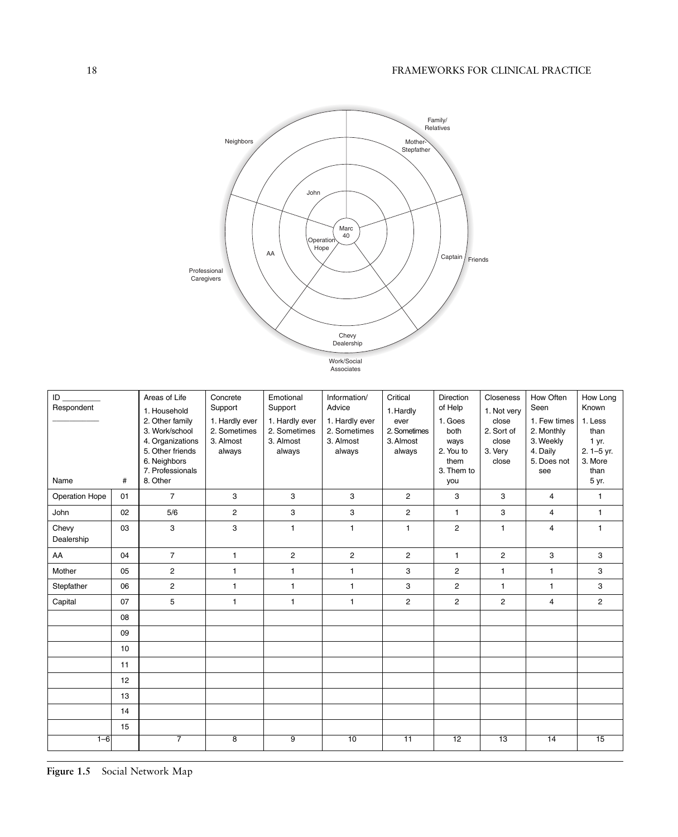

| $ID_$<br>Respondent<br>Name | #  | Areas of Life<br>1. Household<br>2. Other family<br>3. Work/school<br>4. Organizations<br>5. Other friends<br>6. Neighbors<br>7. Professionals<br>8. Other | Concrete<br>Support<br>1. Hardly ever<br>2. Sometimes<br>3. Almost<br>always | Emotional<br>Support<br>1. Hardly ever<br>2. Sometimes<br>3. Almost<br>always | Information/<br>Advice<br>1. Hardly ever<br>2. Sometimes<br>3. Almost<br>always | Critical<br>1. Hardly<br>ever<br>2. Sometimes<br>3. Almost<br>always | Direction<br>of Help<br>1. Goes<br>both<br>ways<br>2. You to<br>them<br>3. Them to<br>you | Closeness<br>1. Not very<br>close<br>2. Sort of<br>close<br>3. Very<br>close | How Often<br>Seen<br>1. Few times<br>2. Monthly<br>3. Weekly<br>4. Daily<br>5. Does not<br>see | How Long<br>Known<br>1. Less<br>than<br>1 yr.<br>2. 1-5 yr.<br>3. More<br>than<br>5 yr. |
|-----------------------------|----|------------------------------------------------------------------------------------------------------------------------------------------------------------|------------------------------------------------------------------------------|-------------------------------------------------------------------------------|---------------------------------------------------------------------------------|----------------------------------------------------------------------|-------------------------------------------------------------------------------------------|------------------------------------------------------------------------------|------------------------------------------------------------------------------------------------|-----------------------------------------------------------------------------------------|
| <b>Operation Hope</b>       | 01 | $\overline{7}$                                                                                                                                             | 3                                                                            | 3                                                                             | 3                                                                               | $\overline{c}$                                                       | 3                                                                                         | 3                                                                            | $\overline{4}$                                                                                 | $\mathbf{1}$                                                                            |
| John                        | 02 | 5/6                                                                                                                                                        | $\overline{2}$                                                               | 3                                                                             | 3                                                                               | $\overline{2}$                                                       | 1                                                                                         | 3                                                                            | 4                                                                                              | $\mathbf{1}$                                                                            |
| Chevy<br>Dealership         | 03 | 3                                                                                                                                                          | 3                                                                            | $\mathbf{1}$                                                                  | $\mathbf{1}$                                                                    | $\mathbf{1}$                                                         | $\overline{c}$                                                                            | 1                                                                            | $\overline{4}$                                                                                 | $\mathbf{1}$                                                                            |
| AA                          | 04 | $\overline{7}$                                                                                                                                             | $\mathbf{1}$                                                                 | $\overline{2}$                                                                | $\overline{c}$                                                                  | $\overline{c}$                                                       | $\mathbf{1}$                                                                              | $\mathbf{2}$                                                                 | 3                                                                                              | 3                                                                                       |
| Mother                      | 05 | $\overline{2}$                                                                                                                                             | $\mathbf{1}$                                                                 | $\mathbf{1}$                                                                  | $\mathbf{1}$                                                                    | 3                                                                    | $\overline{c}$                                                                            | 1                                                                            | $\mathbf{1}$                                                                                   | 3                                                                                       |
| Stepfather                  | 06 | $\overline{2}$                                                                                                                                             | $\mathbf{1}$                                                                 | $\mathbf{1}$                                                                  | $\mathbf{1}$                                                                    | 3                                                                    | $\overline{c}$                                                                            | $\mathbf{1}$                                                                 | $\mathbf{1}$                                                                                   | 3                                                                                       |
| Capital                     | 07 | 5                                                                                                                                                          | $\mathbf{1}$                                                                 | $\mathbf{1}$                                                                  | $\mathbf{1}$                                                                    | $\overline{2}$                                                       | $\mathbf{2}$                                                                              | $\mathbf{2}$                                                                 | 4                                                                                              | $\overline{2}$                                                                          |
|                             | 08 |                                                                                                                                                            |                                                                              |                                                                               |                                                                                 |                                                                      |                                                                                           |                                                                              |                                                                                                |                                                                                         |
|                             | 09 |                                                                                                                                                            |                                                                              |                                                                               |                                                                                 |                                                                      |                                                                                           |                                                                              |                                                                                                |                                                                                         |
|                             | 10 |                                                                                                                                                            |                                                                              |                                                                               |                                                                                 |                                                                      |                                                                                           |                                                                              |                                                                                                |                                                                                         |
|                             | 11 |                                                                                                                                                            |                                                                              |                                                                               |                                                                                 |                                                                      |                                                                                           |                                                                              |                                                                                                |                                                                                         |
|                             | 12 |                                                                                                                                                            |                                                                              |                                                                               |                                                                                 |                                                                      |                                                                                           |                                                                              |                                                                                                |                                                                                         |
|                             | 13 |                                                                                                                                                            |                                                                              |                                                                               |                                                                                 |                                                                      |                                                                                           |                                                                              |                                                                                                |                                                                                         |
|                             | 14 |                                                                                                                                                            |                                                                              |                                                                               |                                                                                 |                                                                      |                                                                                           |                                                                              |                                                                                                |                                                                                         |
|                             | 15 |                                                                                                                                                            |                                                                              |                                                                               |                                                                                 |                                                                      |                                                                                           |                                                                              |                                                                                                |                                                                                         |
| $1 - 6$                     |    | $\overline{7}$                                                                                                                                             | 8                                                                            | 9                                                                             | 10                                                                              | $\overline{11}$                                                      | 12                                                                                        | $\overline{13}$                                                              | $\overline{14}$                                                                                | 15                                                                                      |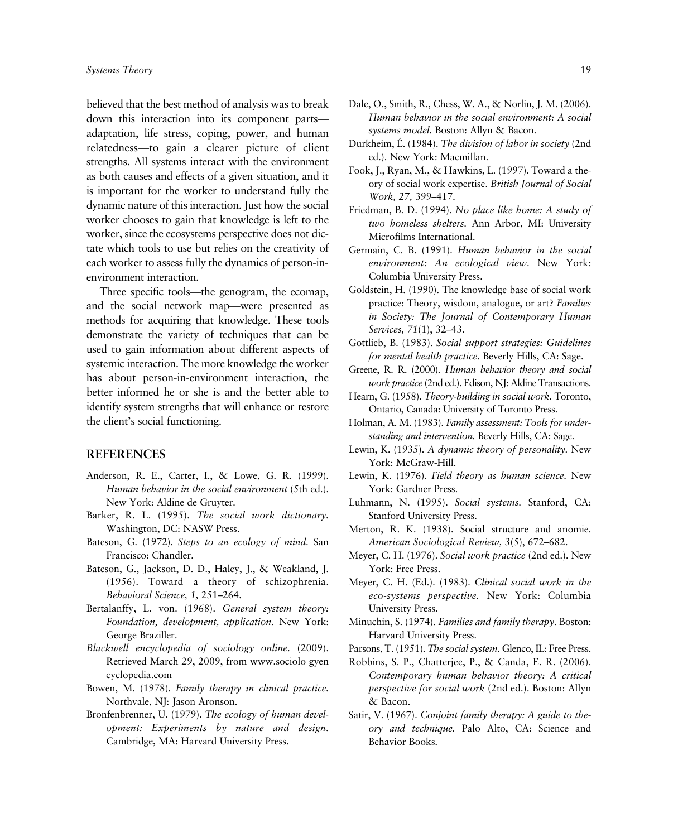believed that the best method of analysis was to break down this interaction into its component parts adaptation, life stress, coping, power, and human relatedness—to gain a clearer picture of client strengths. All systems interact with the environment as both causes and effects of a given situation, and it is important for the worker to understand fully the dynamic nature of this interaction. Just how the social worker chooses to gain that knowledge is left to the worker, since the ecosystems perspective does not dictate which tools to use but relies on the creativity of each worker to assess fully the dynamics of person-inenvironment interaction.

Three specific tools—the genogram, the ecomap, and the social network map—were presented as methods for acquiring that knowledge. These tools demonstrate the variety of techniques that can be used to gain information about different aspects of systemic interaction. The more knowledge the worker has about person-in-environment interaction, the better informed he or she is and the better able to identify system strengths that will enhance or restore the client's social functioning.

# **REFERENCES**

- Anderson, R. E., Carter, I., & Lowe, G. R. (1999). *Human behavior in the social environment* (5th ed.). New York: Aldine de Gruyter.
- Barker, R. L. (1995). *The social work dictionary.* Washington, DC: NASW Press.
- Bateson, G. (1972). *Steps to an ecology of mind.* San Francisco: Chandler.
- Bateson, G., Jackson, D. D., Haley, J., & Weakland, J. (1956). Toward a theory of schizophrenia. *Behavioral Science, 1,* 251–264.
- Bertalanffy, L. von. (1968). *General system theory: Foundation, development, application.* New York: George Braziller.
- *Blackwell encyclopedia of sociology online.* (2009). Retrieved March 29, 2009, from www.sociolo gyen cyclopedia.com
- Bowen, M. (1978). *Family therapy in clinical practice.* Northvale, NJ: Jason Aronson.
- Bronfenbrenner, U. (1979). *The ecology of human development: Experiments by nature and design.* Cambridge, MA: Harvard University Press.
- Dale, O., Smith, R., Chess, W. A., & Norlin, J. M. (2006). *Human behavior in the social environment: A social systems model.* Boston: Allyn & Bacon.
- Durkheim, É. (1984). *The division of labor in society* (2nd ed.). New York: Macmillan.
- Fook, J., Ryan, M., & Hawkins, L. (1997). Toward a theory of social work expertise. *British Journal of Social Work, 27,* 399–417.
- Friedman, B. D. (1994). *No place like home: A study of two homeless shelters.* Ann Arbor, MI: University Microfilms International.
- Germain, C. B. (1991). *Human behavior in the social environment: An ecological view.* New York: Columbia University Press.
- Goldstein, H. (1990). The knowledge base of social work practice: Theory, wisdom, analogue, or art? *Families in Society: The Journal of Contemporary Human Services, 71*(1), 32–43.
- Gottlieb, B. (1983). *Social support strategies: Guidelines for mental health practice.* Beverly Hills, CA: Sage.
- Greene, R. R. (2000). *Human behavior theory and social work practice* (2nd ed.). Edison, NJ: Aldine Transactions.
- Hearn, G. (1958). *Theory-building in social work.* Toronto, Ontario, Canada: University of Toronto Press.
- Holman, A. M. (1983). *Family assessment: Tools for understanding and intervention.* Beverly Hills, CA: Sage.
- Lewin, K. (1935). *A dynamic theory of personality.* New York: McGraw-Hill.
- Lewin, K. (1976). *Field theory as human science.* New York: Gardner Press.
- Luhmann, N. (1995). *Social systems.* Stanford, CA: Stanford University Press.
- Merton, R. K. (1938). Social structure and anomie. *American Sociological Review, 3*(5), 672–682.
- Meyer, C. H. (1976). *Social work practice* (2nd ed.). New York: Free Press.
- Meyer, C. H. (Ed.). (1983). *Clinical social work in the eco-systems perspective.* New York: Columbia University Press.
- Minuchin, S. (1974). *Families and family therapy.* Boston: Harvard University Press.
- Parsons, T. (1951). *The social system*. Glenco, IL: Free Press.
- Robbins, S. P., Chatterjee, P., & Canda, E. R. (2006). *Contemporary human behavior theory: A critical perspective for social work* (2nd ed.). Boston: Allyn & Bacon.
- Satir, V. (1967). *Conjoint family therapy: A guide to theory and technique.* Palo Alto, CA: Science and Behavior Books.